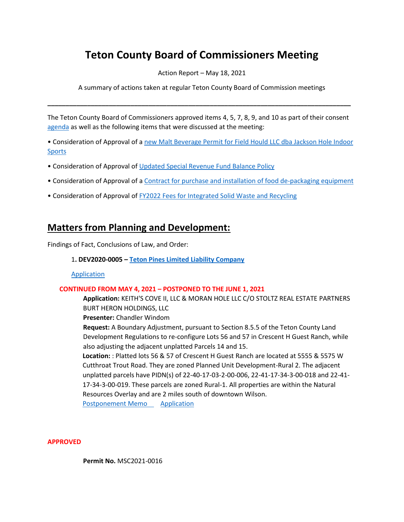# **Teton County Board of Commissioners Meeting**

Action Report – May 18, 2021

A summary of actions taken at regular Teton County Board of Commission meetings

The Teton County Board of Commissioners approved items 4, 5, 7, 8, 9, and 10 as part of their consent [agenda](https://www.tetoncountywy.gov/AgendaCenter/ViewFile/Agenda/_05182021-1665) as well as the following items that were discussed at the meeting:

**\_\_\_\_\_\_\_\_\_\_\_\_\_\_\_\_\_\_\_\_\_\_\_\_\_\_\_\_\_\_\_\_\_\_\_\_\_\_\_\_\_\_\_\_\_\_\_\_\_\_\_\_\_\_\_\_\_\_\_\_\_\_\_\_\_\_\_\_\_\_\_\_\_\_\_\_\_\_\_\_\_\_\_\_**

• Consideration of Approval of [a new Malt Beverage Permit for Field Hould LLC dba Jackson Hole Indoor](https://www.tetoncountywy.gov/DocumentCenter/View/18429/05181-Field-House-LLC-Liquor-Application)  [Sports](https://www.tetoncountywy.gov/DocumentCenter/View/18429/05181-Field-House-LLC-Liquor-Application)

- Consideration of Approval of [Updated Special Revenue Fund Balance Policy](https://www.tetoncountywy.gov/DocumentCenter/View/18430/05182-Special-Revenue-Fund-Balance-Policy-Update)
- Consideration of Approval of [a Contract for purchase and installation of food de-packaging equipment](https://www.tetoncountywy.gov/DocumentCenter/View/18431/05183-Food-DePackaging-Equipment)
- Consideration of Approval of [FY2022 Fees for Integrated Solid Waste and Recycling](https://www.tetoncountywy.gov/DocumentCenter/View/18434/05186-ISWR-Tip-Fees)

# **Matters from Planning and Development:**

Findings of Fact, Conclusions of Law, and Order:

#### 1**. DEV2020-0005 – [Teton Pines Limited Liability Company](https://www.tetoncountywy.gov/DocumentCenter/View/18447/DEV2020-0005-FOFCOL-BCC051821)**

[Application](https://developmentrecords.tetoncountywy.gov/Portal/Planning/Status?planningId=20418)

#### **CONTINUED FROM MAY 4, 2021 – POSTPONED TO THE JUNE 1, 2021**

**Application:** KEITH'S COVE II, LLC & MORAN HOLE LLC C/O STOLTZ REAL ESTATE PARTNERS BURT HERON HOLDINGS, LLC

**Presenter:** Chandler Windom

**Request:** A Boundary Adjustment, pursuant to Section 8.5.5 of the Teton County Land Development Regulations to re-configure Lots 56 and 57 in Crescent H Guest Ranch, while also adjusting the adjacent unplatted Parcels 14 and 15.

**Location:** : Platted lots 56 & 57 of Crescent H Guest Ranch are located at 5555 & 5575 W Cutthroat Trout Road. They are zoned Planned Unit Development-Rural 2. The adjacent unplatted parcels have PIDN(s) of 22-40-17-03-2-00-006, 22-41-17-34-3-00-018 and 22-41- 17-34-3-00-019. These parcels are zoned Rural-1. All properties are within the Natural Resources Overlay and are 2 miles south of downtown Wilson.

[Postponement Memo](https://www.tetoncountywy.gov/DocumentCenter/View/18242/BDJ2021-0001-postponement-memo-BCC050421) [Application](https://developmentrecords.tetoncountywy.gov/Portal/Planning/Status?planningId=20506) 

#### **APPROVED**

**Permit No.** MSC2021-0016